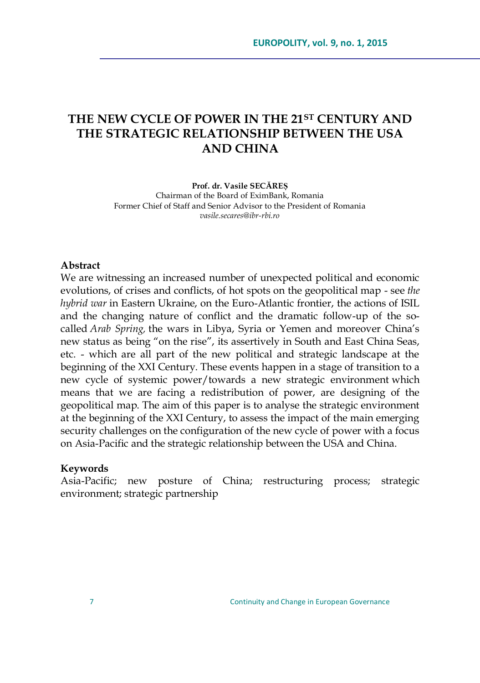## **THE NEW CYCLE OF POWER IN THE 21ST CENTURY AND THE STRATEGIC RELATIONSHIP BETWEEN THE USA AND CHINA**

**Prof. dr. Vasile SECĂREȘ** Chairman of the Board of EximBank, Romania Former Chief of Staff and Senior Advisor to the President of Romania *vasile.secares@ibr-rbi.ro*

## **Abstract**

We are witnessing an increased number of unexpected political and economic evolutions, of crises and conflicts, of hot spots on the geopolitical map - see *the hybrid war* in Eastern Ukraine, on the Euro-Atlantic frontier, the actions of ISIL and the changing nature of conflict and the dramatic follow-up of the socalled *Arab Spring,* the wars in Libya, Syria or Yemen and moreover China's new status as being "on the rise", its assertively in South and East China Seas, etc. - which are all part of the new political and strategic landscape at the beginning of the XXI Century. These events happen in a stage of transition to a new cycle of systemic power/towards a new strategic environment which means that we are facing a redistribution of power, are designing of the geopolitical map. The aim of this paper is to analyse the strategic environment at the beginning of the XXI Century, to assess the impact of the main emerging security challenges on the configuration of the new cycle of power with a focus on Asia-Pacific and the strategic relationship between the USA and China.

## **Keywords**

Asia-Pacific; new posture of China; restructuring process; strategic environment; strategic partnership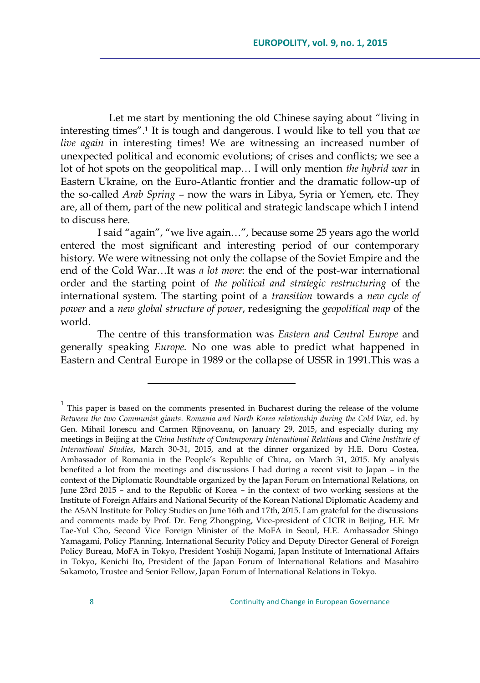Let me start by mentioning the old Chinese saying about "living in interesting times".<sup>1</sup> It is tough and dangerous. I would like to tell you that *we live again* in interesting times! We are witnessing an increased number of unexpected political and economic evolutions; of crises and conflicts; we see a lot of hot spots on the geopolitical map… I will only mention *the hybrid war* in Eastern Ukraine, on the Euro-Atlantic frontier and the dramatic follow-up of the so-called *Arab Spring* – now the wars in Libya, Syria or Yemen, etc. They are, all of them, part of the new political and strategic landscape which I intend to discuss here.

I said "again", "we live again...", because some 25 years ago the world entered the most significant and interesting period of our contemporary history. We were witnessing not only the collapse of the Soviet Empire and the end of the Cold War…It was *a lot more*: the end of the post-war international order and the starting point of *the political and strategic restructuring* of the international system. The starting point of a *transition* towards a *new cycle of power* and a *new global structure of power*, redesigning the *geopolitical map* of the world.

The centre of this transformation was *Eastern and Central Europe* and generally speaking *Europe*. No one was able to predict what happened in Eastern and Central Europe in 1989 or the collapse of USSR in 1991.This was a

<sup>&</sup>lt;sup>1</sup> This paper is based on the comments presented in Bucharest during the release of the volume *Between the two Communist giants. Romania and North Korea relationship during the Cold War,* ed. by Gen. Mihail Ionescu and Carmen Rîjnoveanu, on January 29, 2015, and especially during my meetings in Beijing at the *China Institute of Contemporary International Relations* and *China Institute of International Studies*, March 30-31, 2015, and at the dinner organized by H.E. Doru Costea, Ambassador of Romania in the People's Republic of China, on March 31, 2015. My analysis benefited a lot from the meetings and discussions I had during a recent visit to Japan – in the context of the Diplomatic Roundtable organized by the Japan Forum on International Relations, on June 23rd 2015 – and to the Republic of Korea – in the context of two working sessions at the Institute of Foreign Affairs and National Security of the Korean National Diplomatic Academy and the ASAN Institute for Policy Studies on June 16th and 17th, 2015. I am grateful for the discussions and comments made by Prof. Dr. Feng Zhongping, Vice-president of CICIR in Beijing, H.E. Mr Tae-Yul Cho, Second Vice Foreign Minister of the MoFA in Seoul, H.E. Ambassador Shingo Yamagami, Policy Planning, International Security Policy and Deputy Director General of Foreign Policy Bureau, MoFA in Tokyo, President Yoshiji Nogami, Japan Institute of International Affairs in Tokyo, Kenichi Ito, President of the Japan Forum of International Relations and Masahiro Sakamoto, Trustee and Senior Fellow, Japan Forum of International Relations in Tokyo.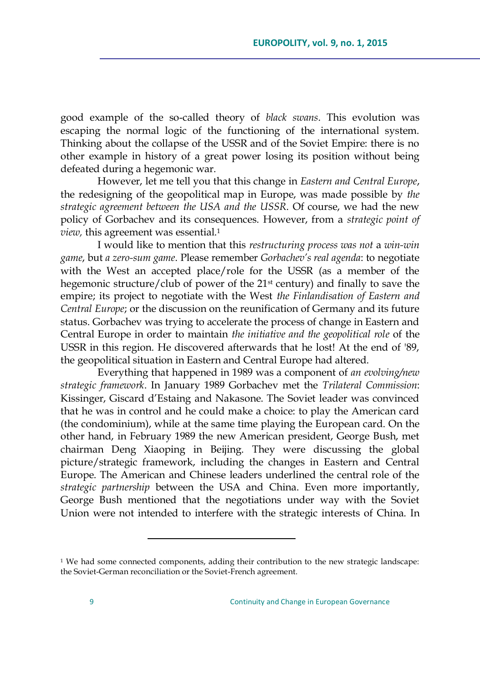good example of the so-called theory of *black swans*. This evolution was escaping the normal logic of the functioning of the international system. Thinking about the collapse of the USSR and of the Soviet Empire: there is no other example in history of a great power losing its position without being defeated during a hegemonic war.

However, let me tell you that this change in *Eastern and Central Europe*, the redesigning of the geopolitical map in Europe, was made possible by *the strategic agreement between the USA and the USSR*. Of course, we had the new policy of Gorbachev and its consequences. However, from a *strategic point of view*, this agreement was essential.<sup>1</sup>

I would like to mention that this *restructuring process was not* a *win-win game*, but *a zero-sum game*. Please remember *Gorbachev"s real agenda*: to negotiate with the West an accepted place/role for the USSR (as a member of the hegemonic structure/club of power of the 21<sup>st</sup> century) and finally to save the empire; its project to negotiate with the West *the Finlandisation of Eastern and Central Europe*; or the discussion on the reunification of Germany and its future status. Gorbachev was trying to accelerate the process of change in Eastern and Central Europe in order to maintain *the initiative and the geopolitical role* of the USSR in this region. He discovered afterwards that he lost! At the end of '89, the geopolitical situation in Eastern and Central Europe had altered.

Everything that happened in 1989 was a component of *an evolving/new strategic framework*. In January 1989 Gorbachev met the *Trilateral Commission*: Kissinger, Giscard d'Estaing and Nakasone. The Soviet leader was convinced that he was in control and he could make a choice: to play the American card (the condominium), while at the same time playing the European card. On the other hand, in February 1989 the new American president, George Bush, met chairman Deng Xiaoping in Beijing. They were discussing the global picture/strategic framework, including the changes in Eastern and Central Europe. The American and Chinese leaders underlined the central role of the *strategic partnership* between the USA and China. Even more importantly, George Bush mentioned that the negotiations under way with the Soviet Union were not intended to interfere with the strategic interests of China. In

<sup>&</sup>lt;sup>1</sup> We had some connected components, adding their contribution to the new strategic landscape: the Soviet-German reconciliation or the Soviet-French agreement.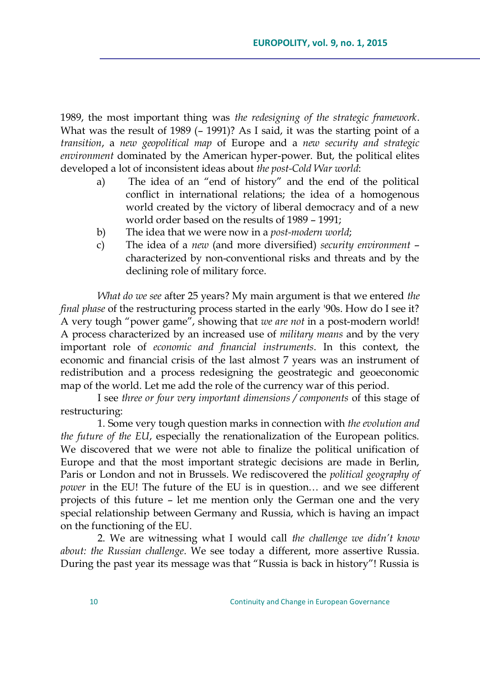1989, the most important thing was *the redesigning of the strategic framework*. What was the result of 1989 (– 1991)? As I said, it was the starting point of a *transition*, a *new geopolitical map* of Europe and a *new security and strategic environment* dominated by the American hyper-power. But, the political elites developed a lot of inconsistent ideas about *the post-Cold War world*:

- a) The idea of an "end of history" and the end of the political conflict in international relations; the idea of a homogenous world created by the victory of liberal democracy and of a new world order based on the results of 1989 – 1991;
- b) The idea that we were now in a *post-modern world*;
- c) The idea of a *new* (and more diversified) *security environment* characterized by non-conventional risks and threats and by the declining role of military force.

*What do we see* after 25 years? My main argument is that we entered *the final phase* of the restructuring process started in the early '90s. How do I see it? A very tough "power game", showing that *we are not* in a post-modern world! A process characterized by an increased use of *military means* and by the very important role of *economic and financial instruments*. In this context, the economic and financial crisis of the last almost 7 years was an instrument of redistribution and a process redesigning the geostrategic and geoeconomic map of the world. Let me add the role of the currency war of this period.

I see *three or four very important dimensions / components* of this stage of restructuring:

1. Some very tough question marks in connection with *the evolution and the future of the EU*, especially the renationalization of the European politics. We discovered that we were not able to finalize the political unification of Europe and that the most important strategic decisions are made in Berlin, Paris or London and not in Brussels. We rediscovered the *political geography of power* in the EU! The future of the EU is in question… and we see different projects of this future – let me mention only the German one and the very special relationship between Germany and Russia, which is having an impact on the functioning of the EU.

2. We are witnessing what I would call *the challenge we didn"t know about: the Russian challenge*. We see today a different, more assertive Russia. During the past year its message was that "Russia is back in history"! Russia is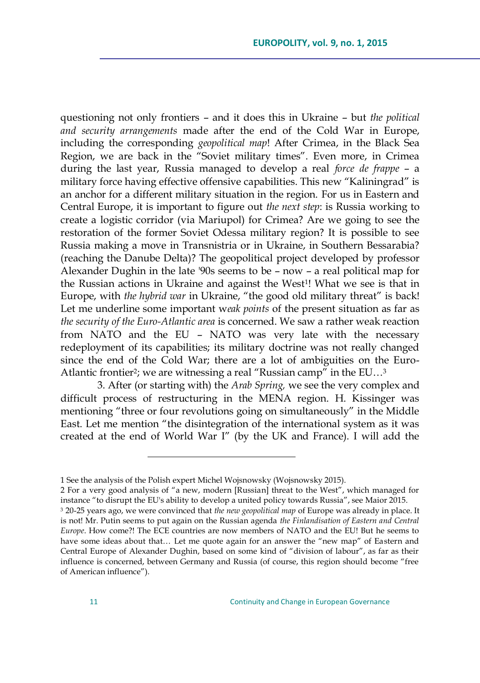questioning not only frontiers – and it does this in Ukraine – but *the political and security arrangements* made after the end of the Cold War in Europe, including the corresponding *geopolitical map*! After Crimea, in the Black Sea Region, we are back in the "Soviet military times". Even more, in Crimea during the last year, Russia managed to develop a real *force de frappe* – a military force having effective offensive capabilities. This new "Kaliningrad" is an anchor for a different military situation in the region. For us in Eastern and Central Europe, it is important to figure out *the next step*: is Russia working to create a logistic corridor (via Mariupol) for Crimea? Are we going to see the restoration of the former Soviet Odessa military region? It is possible to see Russia making a move in Transnistria or in Ukraine, in Southern Bessarabia? (reaching the Danube Delta)? The geopolitical project developed by professor Alexander Dughin in the late '90s seems to be – now – a real political map for the Russian actions in Ukraine and against the West<sup>1</sup>! What we see is that in Europe, with *the hybrid war* in Ukraine, "the good old military threat" is back! Let me underline some important w*eak points* of the present situation as far as *the security of the Euro-Atlantic area* is concerned. We saw a rather weak reaction from NATO and the EU – NATO was very late with the necessary redeployment of its capabilities; its military doctrine was not really changed since the end of the Cold War; there are a lot of ambiguities on the Euro-Atlantic frontier<sup>2</sup>; we are witnessing a real "Russian camp" in the EU...<sup>3</sup>

3. After (or starting with) the *Arab Spring,* we see the very complex and difficult process of restructuring in the MENA region. H. Kissinger was mentioning "three or four revolutions going on simultaneously" in the Middle East. Let me mention "the disintegration of the international system as it was created at the end of World War I" (by the UK and France). I will add the

<sup>1</sup> See the analysis of the Polish expert Michel Wojsnowsky (Wojsnowsky 2015).

<sup>2</sup> For a very good analysis of "a new, modern [Russian] threat to the West", which managed for instance "to disrupt the EU's ability to develop a united policy towards Russia", see Maior 2015.

<sup>3</sup> 20-25 years ago, we were convinced that *the new geopolitical map* of Europe was already in place. It is not! Mr. Putin seems to put again on the Russian agenda *the Finlandisation of Eastern and Central Europe*. How come?! The ECE countries are now members of NATO and the EU! But he seems to have some ideas about that... Let me quote again for an answer the "new map" of Eastern and Central Europe of Alexander Dughin, based on some kind of "division of labour", as far as their influence is concerned, between Germany and Russia (of course, this region should become "free of American influence").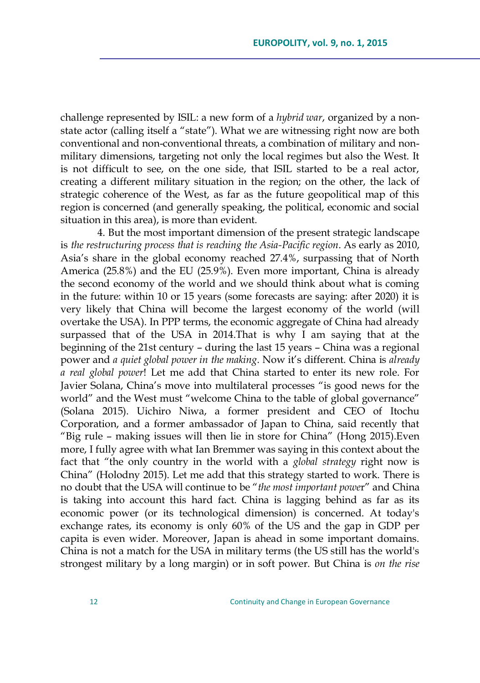challenge represented by ISIL: a new form of a *hybrid war*, organized by a nonstate actor (calling itself a "state"). What we are witnessing right now are both conventional and non-conventional threats, a combination of military and nonmilitary dimensions, targeting not only the local regimes but also the West. It is not difficult to see, on the one side, that ISIL started to be a real actor, creating a different military situation in the region; on the other, the lack of strategic coherence of the West, as far as the future geopolitical map of this region is concerned (and generally speaking, the political, economic and social situation in this area), is more than evident.

4. But the most important dimension of the present strategic landscape is *the restructuring process that is reaching the Asia-Pacific region*. As early as 2010, Asia's share in the global economy reached 27.4%, surpassing that of North America (25.8%) and the EU (25.9%). Even more important, China is already the second economy of the world and we should think about what is coming in the future: within 10 or 15 years (some forecasts are saying: after 2020) it is very likely that China will become the largest economy of the world (will overtake the USA). In PPP terms, the economic aggregate of China had already surpassed that of the USA in 2014.That is why I am saying that at the beginning of the 21st century – during the last 15 years – China was a regional power and *a quiet global power in the making*. Now it's different. China is *already a real global power*! Let me add that China started to enter its new role. For Javier Solana, China's move into multilateral processes "is good news for the world" and the West must "welcome China to the table of global governance" (Solana 2015). Uichiro Niwa, a former president and CEO of Itochu Corporation, and a former ambassador of Japan to China, said recently that "Big rule – making issues will then lie in store for China" (Hong 2015). Even more, I fully agree with what Ian Bremmer was saying in this context about the fact that "the only country in the world with a *global strategy* right now is China" (Holodny 2015). Let me add that this strategy started to work. There is no doubt that the USA will continue to be "the most important power" and China is taking into account this hard fact. China is lagging behind as far as its economic power (or its technological dimension) is concerned. At today's exchange rates, its economy is only 60% of the US and the gap in GDP per capita is even wider. Moreover, Japan is ahead in some important domains. China is not a match for the USA in military terms (the US still has the world's strongest military by a long margin) or in soft power. But China is *on the rise*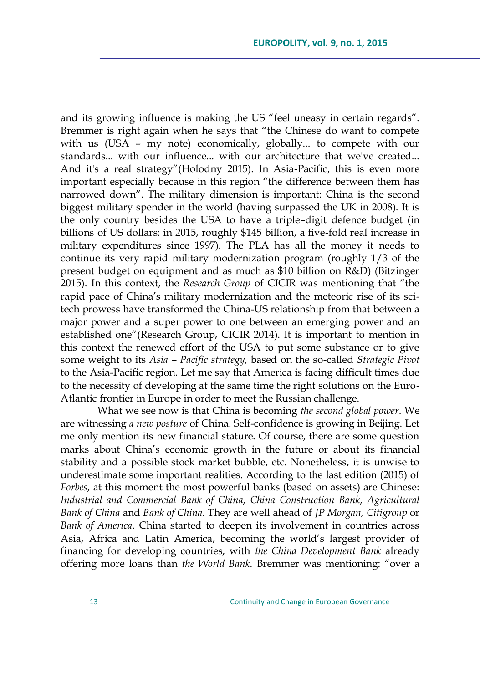and its growing influence is making the US "feel uneasy in certain regards". Bremmer is right again when he says that "the Chinese do want to compete with us (USA – my note) economically, globally... to compete with our standards... with our influence... with our architecture that we've created... And it's a real strategy"(Holodny 2015). In Asia-Pacific, this is even more important especially because in this region "the difference between them has narrowed down". The military dimension is important: China is the second biggest military spender in the world (having surpassed the UK in 2008). It is the only country besides the USA to have a triple–digit defence budget (in billions of US dollars: in 2015, roughly \$145 billion, a five-fold real increase in military expenditures since 1997). The PLA has all the money it needs to continue its very rapid military modernization program (roughly 1/3 of the present budget on equipment and as much as \$10 billion on R&D) (Bitzinger 2015). In this context, the *Research Group* of CICIR was mentioning that "the rapid pace of China's military modernization and the meteoric rise of its scitech prowess have transformed the China-US relationship from that between a major power and a super power to one between an emerging power and an established one" (Research Group, CICIR 2014). It is important to mention in this context the renewed effort of the USA to put some substance or to give some weight to its *Asia – Pacific strategy*, based on the so-called *Strategic Pivot* to the Asia-Pacific region. Let me say that America is facing difficult times due to the necessity of developing at the same time the right solutions on the Euro-Atlantic frontier in Europe in order to meet the Russian challenge.

What we see now is that China is becoming *the second global power*. We are witnessing *a new posture* of China. Self-confidence is growing in Beijing. Let me only mention its new financial stature. Of course, there are some question marks about China's economic growth in the future or about its financial stability and a possible stock market bubble, etc. Nonetheless, it is unwise to underestimate some important realities. According to the last edition (2015) of *Forbes*, at this moment the most powerful banks (based on assets) are Chinese: *Industrial and Commercial Bank of China*, *China Construction Bank*, *Agricultural Bank of China* and *Bank of China*. They are well ahead of *JP Morgan, Citigroup* or *Bank of America*. China started to deepen its involvement in countries across Asia, Africa and Latin America, becoming the world's largest provider of financing for developing countries, with *the China Development Bank* already offering more loans than *the World Bank*. Bremmer was mentioning: "over a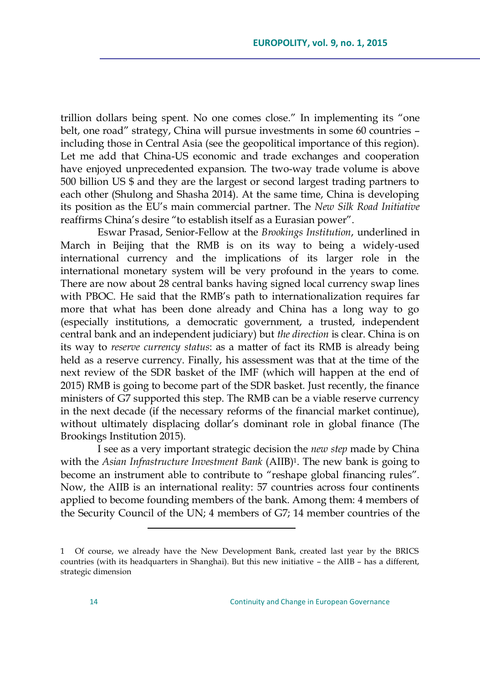trillion dollars being spent. No one comes close." In implementing its "one belt, one road" strategy, China will pursue investments in some 60 countries including those in Central Asia (see the geopolitical importance of this region). Let me add that China-US economic and trade exchanges and cooperation have enjoyed unprecedented expansion. The two-way trade volume is above 500 billion US \$ and they are the largest or second largest trading partners to each other (Shulong and Shasha 2014). At the same time, China is developing its position as the EU's main commercial partner. The *New Silk Road Initiative* reaffirms China's desire "to establish itself as a Eurasian power".

Eswar Prasad, Senior-Fellow at the *Brookings Institution*, underlined in March in Beijing that the RMB is on its way to being a widely-used international currency and the implications of its larger role in the international monetary system will be very profound in the years to come. There are now about 28 central banks having signed local currency swap lines with PBOC. He said that the RMB's path to internationalization requires far more that what has been done already and China has a long way to go (especially institutions, a democratic government, a trusted, independent central bank and an independent judiciary) but *the direction* is clear. China is on its way to *reserve currency status*: as a matter of fact its RMB is already being held as a reserve currency. Finally, his assessment was that at the time of the next review of the SDR basket of the IMF (which will happen at the end of 2015) RMB is going to become part of the SDR basket. Just recently, the finance ministers of G7 supported this step. The RMB can be a viable reserve currency in the next decade (if the necessary reforms of the financial market continue), without ultimately displacing dollar's dominant role in global finance (The Brookings Institution 2015).

I see as a very important strategic decision the *new step* made by China with the *Asian Infrastructure Investment Bank* (AIIB)1. The new bank is going to become an instrument able to contribute to "reshape global financing rules". Now, the AIIB is an international reality: 57 countries across four continents applied to become founding members of the bank. Among them: 4 members of the Security Council of the UN; 4 members of G7; 14 member countries of the

<sup>1</sup> Of course, we already have the New Development Bank, created last year by the BRICS countries (with its headquarters in Shanghai). But this new initiative – the AIIB – has a different, strategic dimension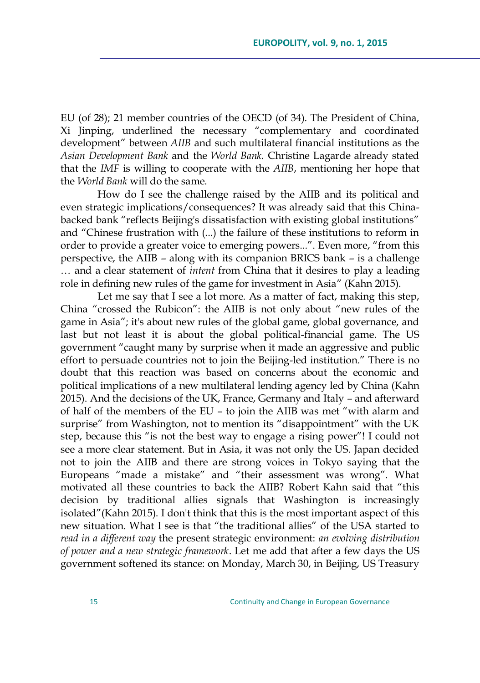EU (of 28); 21 member countries of the OECD (of 34). The President of China, Xi Jinping, underlined the necessary "complementary and coordinated development" between *AIIB* and such multilateral financial institutions as the *Asian Development Bank* and the *World Bank.* Christine Lagarde already stated that the *IMF* is willing to cooperate with the *AIIB*, mentioning her hope that the *World Bank* will do the same.

How do I see the challenge raised by the AIIB and its political and even strategic implications/consequences? It was already said that this Chinabacked bank "reflects Beijing's dissatisfaction with existing global institutions" and "Chinese frustration with (...) the failure of these institutions to reform in order to provide a greater voice to emerging powers...". Even more, "from this perspective, the AIIB – along with its companion BRICS bank – is a challenge … and a clear statement of *intent* from China that it desires to play a leading role in defining new rules of the game for investment in Asia" (Kahn 2015).

Let me say that I see a lot more. As a matter of fact, making this step, China "crossed the Rubicon": the AIIB is not only about "new rules of the game in Asia"; it's about new rules of the global game, global governance, and last but not least it is about the global political-financial game. The US government "caught many by surprise when it made an aggressive and public effort to persuade countries not to join the Beijing-led institution." There is no doubt that this reaction was based on concerns about the economic and political implications of a new multilateral lending agency led by China (Kahn 2015). And the decisions of the UK, France, Germany and Italy – and afterward of half of the members of the EU – to join the AIIB was met "with alarm and surprise" from Washington, not to mention its "disappointment" with the UK step, because this "is not the best way to engage a rising power"! I could not see a more clear statement. But in Asia, it was not only the US. Japan decided not to join the AIIB and there are strong voices in Tokyo saying that the Europeans "made a mistake" and "their assessment was wrong". What motivated all these countries to back the AIIB? Robert Kahn said that "this decision by traditional allies signals that Washington is increasingly isolated"(Kahn 2015). I don't think that this is the most important aspect of this new situation. What I see is that "the traditional allies" of the USA started to *read in a different way* the present strategic environment: *an evolving distribution of power and a new strategic framework*. Let me add that after a few days the US government softened its stance: on Monday, March 30, in Beijing, US Treasury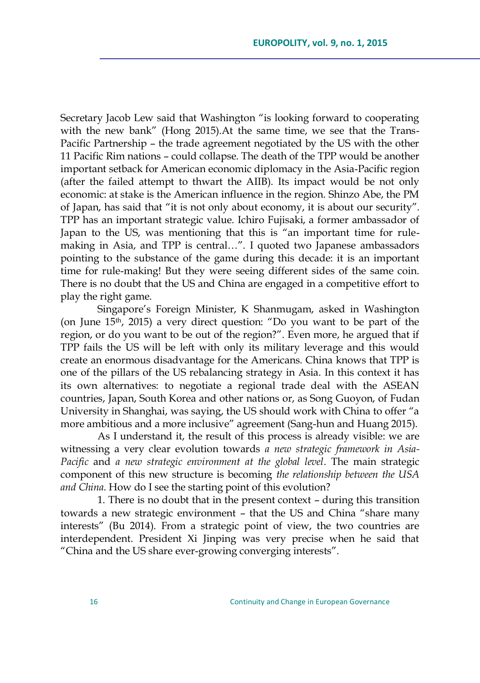Secretary Jacob Lew said that Washington "is looking forward to cooperating with the new bank" (Hong 2015). At the same time, we see that the Trans-Pacific Partnership – the trade agreement negotiated by the US with the other 11 Pacific Rim nations – could collapse. The death of the TPP would be another important setback for American economic diplomacy in the Asia-Pacific region (after the failed attempt to thwart the AIIB). Its impact would be not only economic: at stake is the American influence in the region. Shinzo Abe, the PM of Japan, has said that "it is not only about economy, it is about our security". TPP has an important strategic value. Ichiro Fujisaki, a former ambassador of Japan to the US, was mentioning that this is "an important time for rulemaking in Asia, and TPP is central...". I quoted two Japanese ambassadors pointing to the substance of the game during this decade: it is an important time for rule-making! But they were seeing different sides of the same coin. There is no doubt that the US and China are engaged in a competitive effort to play the right game.

Singapore's Foreign Minister, K Shanmugam, asked in Washington (on June  $15<sup>th</sup>$ , 2015) a very direct question: "Do you want to be part of the region, or do you want to be out of the region?". Even more, he argued that if TPP fails the US will be left with only its military leverage and this would create an enormous disadvantage for the Americans. China knows that TPP is one of the pillars of the US rebalancing strategy in Asia. In this context it has its own alternatives: to negotiate a regional trade deal with the ASEAN countries, Japan, South Korea and other nations or, as Song Guoyon, of Fudan University in Shanghai, was saying, the US should work with China to offer "a more ambitious and a more inclusive" agreement (Sang-hun and Huang 2015).

As I understand it, the result of this process is already visible: we are witnessing a very clear evolution towards *a new strategic framework in Asia-Pacific* and *a new strategic environment at the global level*. The main strategic component of this new structure is becoming *the relationship between the USA and China*. How do I see the starting point of this evolution?

1. There is no doubt that in the present context – during this transition towards a new strategic environment - that the US and China "share many interests‖ (Bu 2014). From a strategic point of view, the two countries are interdependent. President Xi Jinping was very precise when he said that "China and the US share ever-growing converging interests".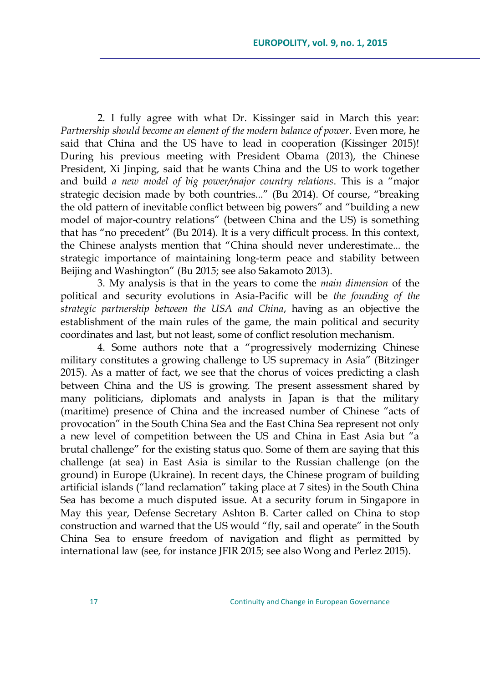2. I fully agree with what Dr. Kissinger said in March this year: *Partnership should become an element of the modern balance of power*. Even more, he said that China and the US have to lead in cooperation (Kissinger 2015)! During his previous meeting with President Obama (2013), the Chinese President, Xi Jinping, said that he wants China and the US to work together and build *a new model of big power/major country relations*. This is a "major strategic decision made by both countries..." (Bu 2014). Of course, "breaking the old pattern of inevitable conflict between big powers" and "building a new model of major-country relations" (between China and the US) is something that has "no precedent" (Bu 2014). It is a very difficult process. In this context, the Chinese analysts mention that "China should never underestimate... the strategic importance of maintaining long-term peace and stability between Beijing and Washington" (Bu 2015; see also Sakamoto 2013).

3. My analysis is that in the years to come the *main dimension* of the political and security evolutions in Asia-Pacific will be *the founding of the strategic partnership between the USA and China*, having as an objective the establishment of the main rules of the game, the main political and security coordinates and last, but not least, some of conflict resolution mechanism.

4. Some authors note that a "progressively modernizing Chinese military constitutes a growing challenge to US supremacy in Asia" (Bitzinger 2015). As a matter of fact, we see that the chorus of voices predicting a clash between China and the US is growing. The present assessment shared by many politicians, diplomats and analysts in Japan is that the military (maritime) presence of China and the increased number of Chinese "acts of provocation‖ in the South China Sea and the East China Sea represent not only a new level of competition between the US and China in East Asia but "a brutal challenge" for the existing status quo. Some of them are saying that this challenge (at sea) in East Asia is similar to the Russian challenge (on the ground) in Europe (Ukraine). In recent days, the Chinese program of building artificial islands ("land reclamation" taking place at 7 sites) in the South China Sea has become a much disputed issue. At a security forum in Singapore in May this year, Defense Secretary Ashton B. Carter called on China to stop construction and warned that the US would "fly, sail and operate" in the South China Sea to ensure freedom of navigation and flight as permitted by international law (see, for instance JFIR 2015; see also Wong and Perlez 2015).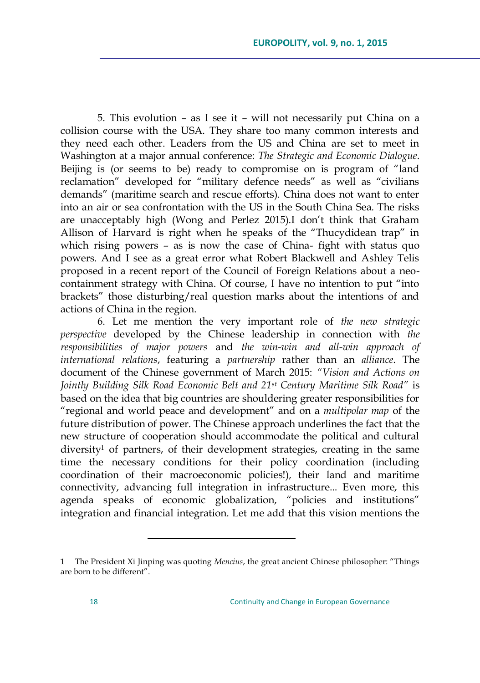5. This evolution – as I see it – will not necessarily put China on a collision course with the USA. They share too many common interests and they need each other. Leaders from the US and China are set to meet in Washington at a major annual conference: *The Strategic and Economic Dialogue*. Beijing is (or seems to be) ready to compromise on is program of "land reclamation" developed for "military defence needs" as well as "civilians demands" (maritime search and rescue efforts). China does not want to enter into an air or sea confrontation with the US in the South China Sea. The risks are unacceptably high (Wong and Perlez 2015).I don't think that Graham Allison of Harvard is right when he speaks of the "Thucydidean trap" in which rising powers – as is now the case of China- fight with status quo powers. And I see as a great error what Robert Blackwell and Ashley Telis proposed in a recent report of the Council of Foreign Relations about a neocontainment strategy with China. Of course, I have no intention to put "into" brackets" those disturbing/real question marks about the intentions of and actions of China in the region.

6. Let me mention the very important role of *the new strategic perspective* developed by the Chinese leadership in connection with *the responsibilities of major powers* and *the win-win and all-win approach of international relations*, featuring a *partnership* rather than an *alliance*. The document of the Chinese government of March 2015: *"Vision and Actions on Jointly Building Silk Road Economic Belt and 21st Century Maritime Silk Road"* is based on the idea that big countries are shouldering greater responsibilities for ―regional and world peace and development‖ and on a *multipolar map* of the future distribution of power. The Chinese approach underlines the fact that the new structure of cooperation should accommodate the political and cultural diversity<sup>1</sup> of partners, of their development strategies, creating in the same time the necessary conditions for their policy coordination (including coordination of their macroeconomic policies!), their land and maritime connectivity, advancing full integration in infrastructure... Even more, this agenda speaks of economic globalization, "policies and institutions" integration and financial integration. Let me add that this vision mentions the

<sup>1</sup> The President Xi Jinping was quoting *Mencius*, the great ancient Chinese philosopher: "Things are born to be different".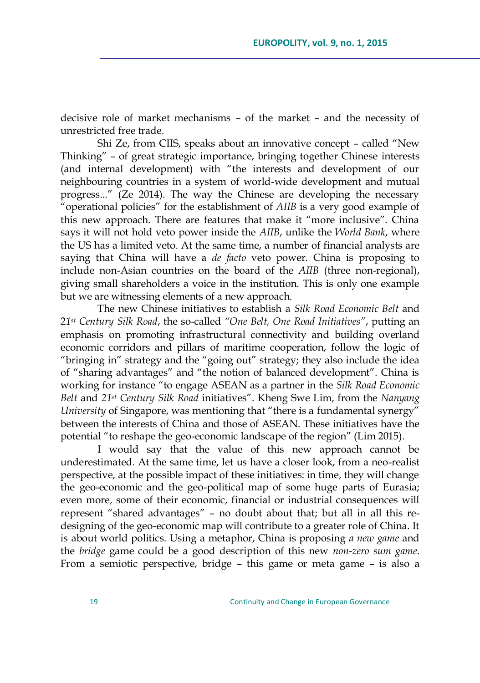decisive role of market mechanisms – of the market – and the necessity of unrestricted free trade.

Shi Ze, from CIIS, speaks about an innovative concept - called "New Thinking" - of great strategic importance, bringing together Chinese interests (and internal development) with "the interests and development of our neighbouring countries in a system of world-wide development and mutual progress...‖ (Ze 2014). The way the Chinese are developing the necessary "operational policies" for the establishment of *AIIB* is a very good example of this new approach. There are features that make it "more inclusive". China says it will not hold veto power inside the *AIIB*, unlike the *World Bank*, where the US has a limited veto. At the same time, a number of financial analysts are saying that China will have a *de facto* veto power. China is proposing to include non-Asian countries on the board of the *AIIB* (three non-regional), giving small shareholders a voice in the institution. This is only one example but we are witnessing elements of a new approach.

The new Chinese initiatives to establish a *Silk Road Economic Belt* and 2*1st Century Silk Road*, the so-called *"One Belt, One Road Initiatives"*, putting an emphasis on promoting infrastructural connectivity and building overland economic corridors and pillars of maritime cooperation, follow the logic of "bringing in" strategy and the "going out" strategy; they also include the idea of "sharing advantages" and "the notion of balanced development". China is working for instance "to engage ASEAN as a partner in the *Silk Road Economic Belt* and *21st Century Silk Road* initiatives‖. Kheng Swe Lim, from the *Nanyang University* of Singapore, was mentioning that "there is a fundamental synergy" between the interests of China and those of ASEAN. These initiatives have the potential "to reshape the geo-economic landscape of the region" (Lim 2015).

I would say that the value of this new approach cannot be underestimated. At the same time, let us have a closer look, from a neo-realist perspective, at the possible impact of these initiatives: in time, they will change the geo-economic and the geo-political map of some huge parts of Eurasia; even more, some of their economic, financial or industrial consequences will represent "shared advantages" - no doubt about that; but all in all this redesigning of the geo-economic map will contribute to a greater role of China. It is about world politics. Using a metaphor, China is proposing *a new game* and the *bridge* game could be a good description of this new *non-zero sum game*. From a semiotic perspective, bridge – this game or meta game – is also a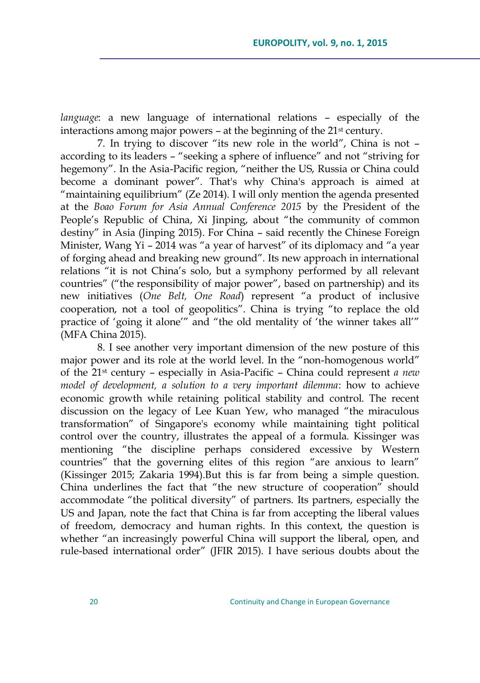*language*: a new language of international relations – especially of the interactions among major powers – at the beginning of the 21<sup>st</sup> century.

7. In trying to discover "its new role in the world", China is not according to its leaders – "seeking a sphere of influence" and not "striving for hegemony". In the Asia-Pacific region, "neither the US, Russia or China could become a dominant power". That's why China's approach is aimed at "maintaining equilibrium" (Ze 2014). I will only mention the agenda presented at the *Boao Forum for Asia Annual Conference 2015* by the President of the People's Republic of China, Xi Jinping, about "the community of common destiny" in Asia (Jinping 2015). For China - said recently the Chinese Foreign Minister, Wang Yi – 2014 was "a year of harvest" of its diplomacy and "a year of forging ahead and breaking new ground". Its new approach in international relations "it is not China's solo, but a symphony performed by all relevant countries" ("the responsibility of major power", based on partnership) and its new initiatives (One Belt, One Road) represent "a product of inclusive cooperation, not a tool of geopolitics". China is trying "to replace the old practice of 'going it alone'" and "the old mentality of 'the winner takes all'" (MFA China 2015).

8. I see another very important dimension of the new posture of this major power and its role at the world level. In the "non-homogenous world" of the 21st century – especially in Asia-Pacific – China could represent *a new model of development, a solution to a very important dilemma*: how to achieve economic growth while retaining political stability and control. The recent discussion on the legacy of Lee Kuan Yew, who managed "the miraculous transformation‖ of Singapore's economy while maintaining tight political control over the country, illustrates the appeal of a formula. Kissinger was mentioning "the discipline perhaps considered excessive by Western countries" that the governing elites of this region "are anxious to learn" (Kissinger 2015; Zakaria 1994).But this is far from being a simple question. China underlines the fact that "the new structure of cooperation" should accommodate "the political diversity" of partners. Its partners, especially the US and Japan, note the fact that China is far from accepting the liberal values of freedom, democracy and human rights. In this context, the question is whether "an increasingly powerful China will support the liberal, open, and rule-based international order" (JFIR 2015). I have serious doubts about the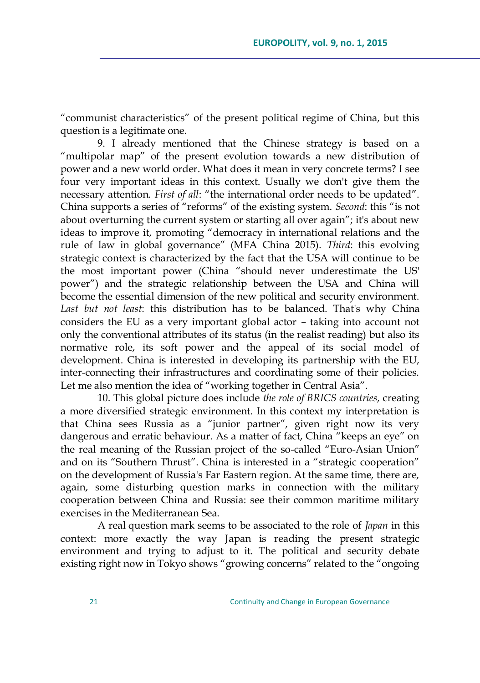―communist characteristics‖ of the present political regime of China, but this question is a legitimate one.

9. I already mentioned that the Chinese strategy is based on a ―multipolar map‖ of the present evolution towards a new distribution of power and a new world order. What does it mean in very concrete terms? I see four very important ideas in this context. Usually we don't give them the necessary attention. *First of all*: "the international order needs to be updated". China supports a series of "reforms" of the existing system. *Second*: this "is not about overturning the current system or starting all over again"; it's about new ideas to improve it, promoting "democracy in international relations and the rule of law in global governance" (MFA China 2015). *Third*: this evolving strategic context is characterized by the fact that the USA will continue to be the most important power (China "should never underestimate the US' power") and the strategic relationship between the USA and China will become the essential dimension of the new political and security environment. *Last but not least*: this distribution has to be balanced. That's why China considers the EU as a very important global actor – taking into account not only the conventional attributes of its status (in the realist reading) but also its normative role, its soft power and the appeal of its social model of development. China is interested in developing its partnership with the EU, inter-connecting their infrastructures and coordinating some of their policies. Let me also mention the idea of "working together in Central Asia".

10. This global picture does include *the role of BRICS countries*, creating a more diversified strategic environment. In this context my interpretation is that China sees Russia as a "junior partner", given right now its very dangerous and erratic behaviour. As a matter of fact, China "keeps an eye" on the real meaning of the Russian project of the so-called "Euro-Asian Union" and on its "Southern Thrust". China is interested in a "strategic cooperation" on the development of Russia's Far Eastern region. At the same time, there are, again, some disturbing question marks in connection with the military cooperation between China and Russia: see their common maritime military exercises in the Mediterranean Sea.

A real question mark seems to be associated to the role of *Japan* in this context: more exactly the way Japan is reading the present strategic environment and trying to adjust to it. The political and security debate existing right now in Tokyo shows "growing concerns" related to the "ongoing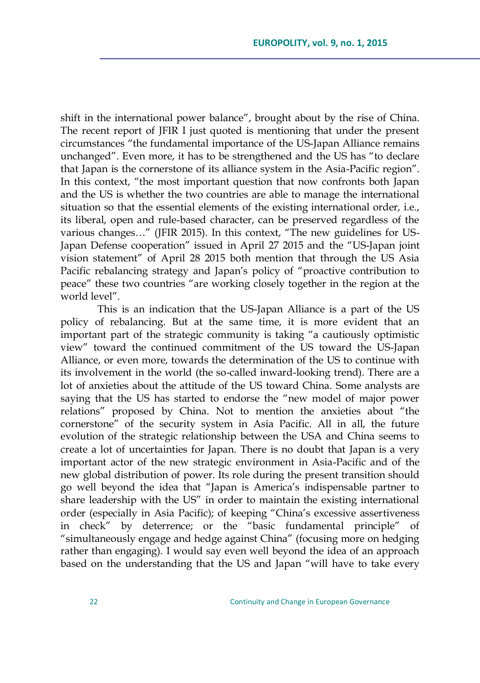shift in the international power balance", brought about by the rise of China. The recent report of JFIR I just quoted is mentioning that under the present circumstances "the fundamental importance of the US-Japan Alliance remains unchanged". Even more, it has to be strengthened and the US has "to declare that Japan is the cornerstone of its alliance system in the Asia-Pacific region". In this context, "the most important question that now confronts both Japan and the US is whether the two countries are able to manage the international situation so that the essential elements of the existing international order, i.e., its liberal, open and rule-based character, can be preserved regardless of the various changes..." (JFIR 2015). In this context, "The new guidelines for US-Japan Defense cooperation" issued in April 27 2015 and the "US-Japan joint vision statement" of April 28 2015 both mention that through the US Asia Pacific rebalancing strategy and Japan's policy of "proactive contribution to peace" these two countries "are working closely together in the region at the world level".

This is an indication that the US-Japan Alliance is a part of the US policy of rebalancing. But at the same time, it is more evident that an important part of the strategic community is taking "a cautiously optimistic view" toward the continued commitment of the US toward the US-Japan Alliance, or even more, towards the determination of the US to continue with its involvement in the world (the so-called inward-looking trend). There are a lot of anxieties about the attitude of the US toward China. Some analysts are saying that the US has started to endorse the "new model of major power relations" proposed by China. Not to mention the anxieties about "the cornerstone‖ of the security system in Asia Pacific. All in all, the future evolution of the strategic relationship between the USA and China seems to create a lot of uncertainties for Japan. There is no doubt that Japan is a very important actor of the new strategic environment in Asia-Pacific and of the new global distribution of power. Its role during the present transition should go well beyond the idea that "Japan is America's indispensable partner to share leadership with the US" in order to maintain the existing international order (especially in Asia Pacific); of keeping "China's excessive assertiveness in check" by deterrence; or the "basic fundamental principle" of ―simultaneously engage and hedge against China‖ (focusing more on hedging rather than engaging). I would say even well beyond the idea of an approach based on the understanding that the US and Japan "will have to take every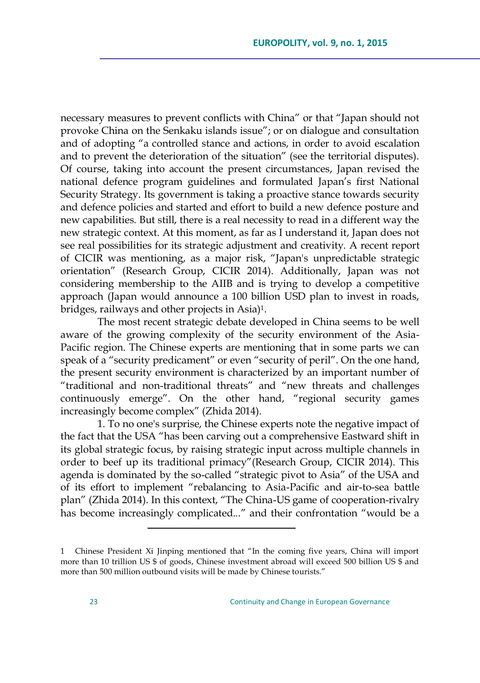necessary measures to prevent conflicts with China" or that "Japan should not provoke China on the Senkaku islands issue"; or on dialogue and consultation and of adopting "a controlled stance and actions, in order to avoid escalation and to prevent the deterioration of the situation" (see the territorial disputes). Of course, taking into account the present circumstances, Japan revised the national defence program guidelines and formulated Japan's first National Security Strategy. Its government is taking a proactive stance towards security and defence policies and started and effort to build a new defence posture and new capabilities. But still, there is a real necessity to read in a different way the new strategic context. At this moment, as far as I understand it, Japan does not see real possibilities for its strategic adjustment and creativity. A recent report of CICIR was mentioning, as a major risk, "Japan's unpredictable strategic orientation" (Research Group, CICIR 2014). Additionally, Japan was not considering membership to the AIIB and is trying to develop a competitive approach (Japan would announce a 100 billion USD plan to invest in roads, bridges, railways and other projects in Asia)1.

The most recent strategic debate developed in China seems to be well aware of the growing complexity of the security environment of the Asia-Pacific region. The Chinese experts are mentioning that in some parts we can speak of a "security predicament" or even "security of peril". On the one hand, the present security environment is characterized by an important number of "traditional and non-traditional threats" and "new threats and challenges continuously emerge". On the other hand, "regional security games increasingly become complex" (Zhida 2014).

1. To no one's surprise, the Chinese experts note the negative impact of the fact that the USA "has been carving out a comprehensive Eastward shift in its global strategic focus, by raising strategic input across multiple channels in order to beef up its traditional primacy"(Research Group, CICIR 2014). This agenda is dominated by the so-called "strategic pivot to Asia" of the USA and of its effort to implement "rebalancing to Asia-Pacific and air-to-sea battle plan" (Zhida 2014). In this context, "The China-US game of cooperation-rivalry has become increasingly complicated..." and their confrontation "would be a

<sup>1</sup> Chinese President Xi Jinping mentioned that "In the coming five years, China will import more than 10 trillion US \$ of goods, Chinese investment abroad will exceed 500 billion US \$ and more than 500 million outbound visits will be made by Chinese tourists."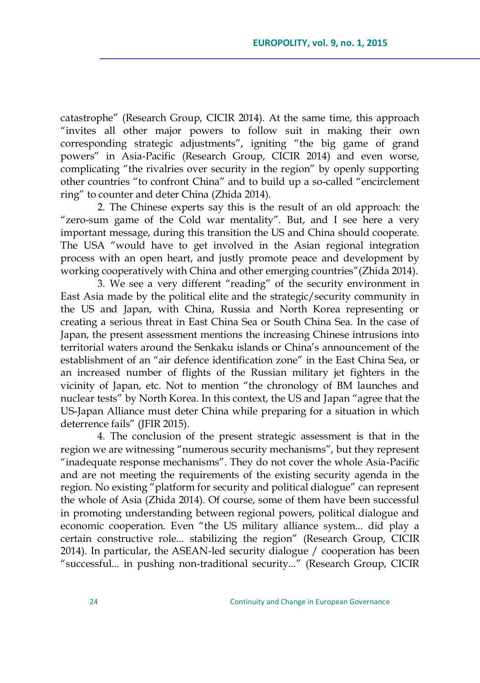catastrophe‖ (Research Group, CICIR 2014). At the same time, this approach "invites all other major powers to follow suit in making their own corresponding strategic adjustments", igniting "the big game of grand powers" in Asia-Pacific (Research Group, CICIR 2014) and even worse, complicating "the rivalries over security in the region" by openly supporting other countries "to confront China" and to build up a so-called "encirclement" ring" to counter and deter China (Zhida 2014).

2. The Chinese experts say this is the result of an old approach: the "zero-sum game of the Cold war mentality". But, and I see here a very important message, during this transition the US and China should cooperate. The USA "would have to get involved in the Asian regional integration process with an open heart, and justly promote peace and development by working cooperatively with China and other emerging countries" (Zhida 2014).

3. We see a very different "reading" of the security environment in East Asia made by the political elite and the strategic/security community in the US and Japan, with China, Russia and North Korea representing or creating a serious threat in East China Sea or South China Sea. In the case of Japan, the present assessment mentions the increasing Chinese intrusions into territorial waters around the Senkaku islands or China's announcement of the establishment of an "air defence identification zone" in the East China Sea, or an increased number of flights of the Russian military jet fighters in the vicinity of Japan, etc. Not to mention "the chronology of BM launches and nuclear tests" by North Korea. In this context, the US and Japan "agree that the US-Japan Alliance must deter China while preparing for a situation in which deterrence fails" (JFIR 2015).

4. The conclusion of the present strategic assessment is that in the region we are witnessing "numerous security mechanisms", but they represent "inadequate response mechanisms". They do not cover the whole Asia-Pacific and are not meeting the requirements of the existing security agenda in the region. No existing "platform for security and political dialogue" can represent the whole of Asia (Zhida 2014). Of course, some of them have been successful in promoting understanding between regional powers, political dialogue and economic cooperation. Even "the US military alliance system... did play a certain constructive role... stabilizing the region" (Research Group, CICIR 2014). In particular, the ASEAN-led security dialogue / cooperation has been ―successful... in pushing non-traditional security...‖ (Research Group, CICIR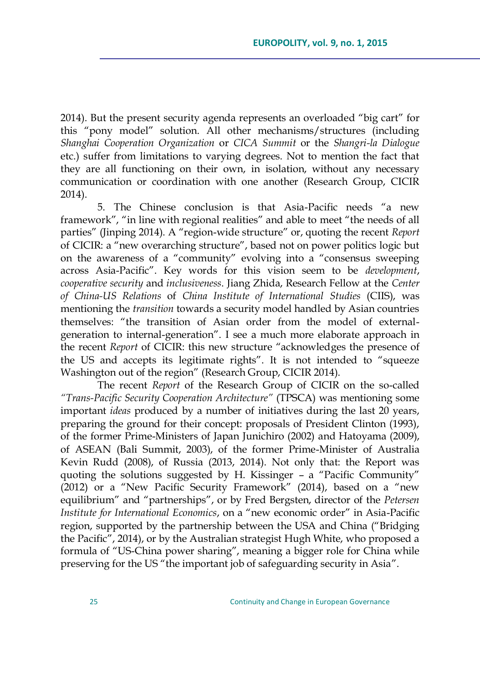2014). But the present security agenda represents an overloaded "big cart" for this "pony model" solution. All other mechanisms/structures (including *Shanghai Cooperation Organization* or *CICA Summit* or the *Shangri-la Dialogue* etc.) suffer from limitations to varying degrees. Not to mention the fact that they are all functioning on their own, in isolation, without any necessary communication or coordination with one another (Research Group, CICIR 2014).

5. The Chinese conclusion is that Asia-Pacific needs "a new framework", "in line with regional realities" and able to meet "the needs of all parties" (Jinping 2014). A "region-wide structure" or, quoting the recent *Report* of CICIR: a "new overarching structure", based not on power politics logic but on the awareness of a "community" evolving into a "consensus sweeping across Asia-Pacific‖. Key words for this vision seem to be *development*, *cooperative security* and *inclusiveness*. Jiang Zhida, Research Fellow at the *Center of China-US Relations* of *China Institute of International Studies* (CIIS), was mentioning the *transition* towards a security model handled by Asian countries themselves: "the transition of Asian order from the model of externalgeneration to internal-generation". I see a much more elaborate approach in the recent *Report* of CICIR: this new structure "acknowledges the presence of the US and accepts its legitimate rights". It is not intended to "squeeze Washington out of the region" (Research Group, CICIR 2014).

The recent *Report* of the Research Group of CICIR on the so-called *"Trans-Pacific Security Cooperation Architecture"* (TPSCA) was mentioning some important *ideas* produced by a number of initiatives during the last 20 years, preparing the ground for their concept: proposals of President Clinton (1993), of the former Prime-Ministers of Japan Junichiro (2002) and Hatoyama (2009), of ASEAN (Bali Summit, 2003), of the former Prime-Minister of Australia Kevin Rudd (2008), of Russia (2013, 2014). Not only that: the Report was quoting the solutions suggested by H. Kissinger  $-$  a "Pacific Community"  $(2012)$  or a "New Pacific Security Framework" (2014), based on a "new equilibrium" and "partnerships", or by Fred Bergsten, director of the *Petersen Institute for International Economics, on a "new economic order" in Asia-Pacific* region, supported by the partnership between the USA and China ("Bridging the Pacific", 2014), or by the Australian strategist Hugh White, who proposed a formula of "US-China power sharing", meaning a bigger role for China while preserving for the US "the important job of safeguarding security in Asia".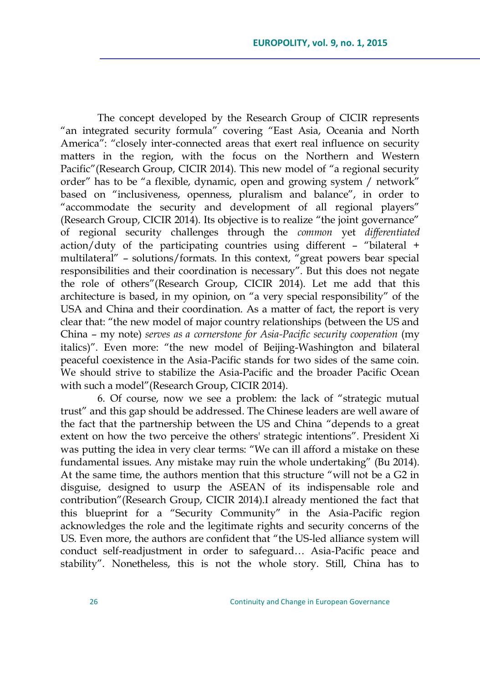The concept developed by the Research Group of CICIR represents "an integrated security formula" covering "East Asia, Oceania and North America": "closely inter-connected areas that exert real influence on security matters in the region, with the focus on the Northern and Western Pacific" (Research Group, CICIR 2014). This new model of "a regional security order" has to be "a flexible, dynamic, open and growing system / network" based on "inclusiveness, openness, pluralism and balance", in order to "accommodate the security and development of all regional players" (Research Group, CICIR 2014). Its objective is to realize "the joint governance" of regional security challenges through the *common* yet *differentiated*  $\arctan/d$ uty of the participating countries using different - "bilateral + multilateral" – solutions/formats. In this context, "great powers bear special responsibilities and their coordination is necessary". But this does not negate the role of others‖(Research Group, CICIR 2014). Let me add that this architecture is based, in my opinion, on "a very special responsibility" of the USA and China and their coordination. As a matter of fact, the report is very clear that: "the new model of major country relationships (between the US and China – my note) *serves as a cornerstone for Asia-Pacific security cooperation* (my italics)". Even more: "the new model of Beijing-Washington and bilateral peaceful coexistence in the Asia-Pacific stands for two sides of the same coin. We should strive to stabilize the Asia-Pacific and the broader Pacific Ocean with such a model" (Research Group, CICIR 2014).

6. Of course, now we see a problem: the lack of "strategic mutual trust" and this gap should be addressed. The Chinese leaders are well aware of the fact that the partnership between the US and China "depends to a great extent on how the two perceive the others' strategic intentions". President Xi was putting the idea in very clear terms: "We can ill afford a mistake on these fundamental issues. Any mistake may ruin the whole undertaking" (Bu 2014). At the same time, the authors mention that this structure "will not be a  $G2$  in disguise, designed to usurp the ASEAN of its indispensable role and contribution"(Research Group, CICIR 2014).I already mentioned the fact that this blueprint for a "Security Community" in the Asia-Pacific region acknowledges the role and the legitimate rights and security concerns of the US. Even more, the authors are confident that "the US-led alliance system will conduct self-readjustment in order to safeguard… Asia-Pacific peace and stability". Nonetheless, this is not the whole story. Still, China has to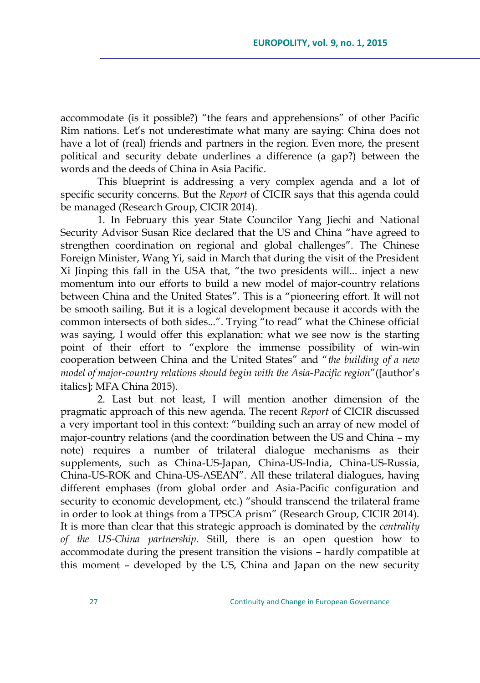accommodate (is it possible?) "the fears and apprehensions" of other Pacific Rim nations. Let's not underestimate what many are saying: China does not have a lot of (real) friends and partners in the region. Even more, the present political and security debate underlines a difference (a gap?) between the words and the deeds of China in Asia Pacific.

This blueprint is addressing a very complex agenda and a lot of specific security concerns. But the *Report* of CICIR says that this agenda could be managed (Research Group, CICIR 2014).

1. In February this year State Councilor Yang Jiechi and National Security Advisor Susan Rice declared that the US and China "have agreed to strengthen coordination on regional and global challenges". The Chinese Foreign Minister, Wang Yi, said in March that during the visit of the President Xi Jinping this fall in the USA that, "the two presidents will... inject a new momentum into our efforts to build a new model of major-country relations between China and the United States". This is a "pioneering effort. It will not be smooth sailing. But it is a logical development because it accords with the common intersects of both sides...". Trying "to read" what the Chinese official was saying, I would offer this explanation: what we see now is the starting point of their effort to "explore the immense possibility of win-win cooperation between China and the United States" and "the building of a new *model of major-country relations should begin with the Asia-Pacific region*‖(author's italics]; MFA China 2015).

2. Last but not least, I will mention another dimension of the pragmatic approach of this new agenda. The recent *Report* of CICIR discussed a very important tool in this context: "building such an array of new model of major-country relations (and the coordination between the US and China – my note) requires a number of trilateral dialogue mechanisms as their supplements, such as China-US-Japan, China-US-India, China-US-Russia, China-US-ROK and China-US-ASEAN". All these trilateral dialogues, having different emphases (from global order and Asia-Pacific configuration and security to economic development, etc.) "should transcend the trilateral frame in order to look at things from a TPSCA prism" (Research Group, CICIR 2014). It is more than clear that this strategic approach is dominated by the *centrality of the US-China partnership*. Still, there is an open question how to accommodate during the present transition the visions – hardly compatible at this moment – developed by the US, China and Japan on the new security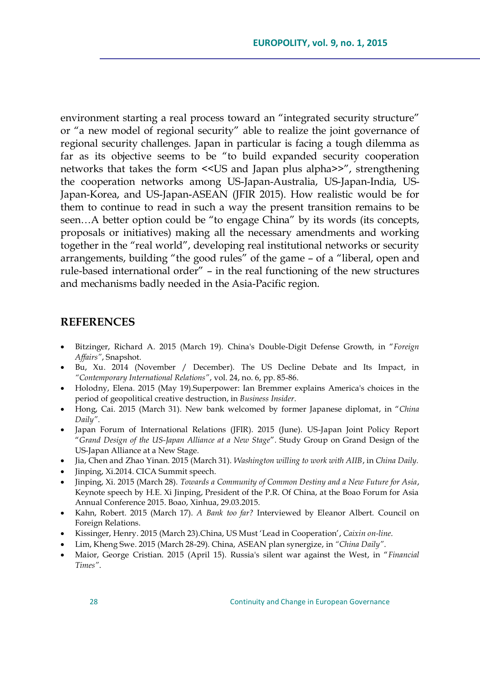environment starting a real process toward an "integrated security structure" or "a new model of regional security" able to realize the joint governance of regional security challenges. Japan in particular is facing a tough dilemma as far as its objective seems to be "to build expanded security cooperation networks that takes the form << US and Japan plus alpha>>", strengthening the cooperation networks among US-Japan-Australia, US-Japan-India, US-Japan-Korea, and US-Japan-ASEAN (JFIR 2015). How realistic would be for them to continue to read in such a way the present transition remains to be seen...A better option could be "to engage China" by its words (its concepts, proposals or initiatives) making all the necessary amendments and working together in the "real world", developing real institutional networks or security arrangements, building "the good rules" of the game - of a "liberal, open and rule-based international order" – in the real functioning of the new structures and mechanisms badly needed in the Asia-Pacific region.

## **REFERENCES**

- Bitzinger, Richard A. 2015 (March 19). China's Double-Digit Defense Growth, in "Foreign *Affairs"*, Snapshot.
- Bu, Xu. 2014 (November / December). The US Decline Debate and Its Impact, in *"Contemporary International Relations"*, vol. 24, no. 6, pp. 85-86.
- Holodny, Elena. 2015 (May 19).Superpower: Ian Bremmer explains America's choices in the period of geopolitical creative destruction, in *Business Insider*.
- Hong, Cai. 2015 (March 31). New bank welcomed by former Japanese diplomat, in "China *Daily"*.
- Japan Forum of International Relations (JFIR). 2015 (June). US-Japan Joint Policy Report ―*Grand Design of the US-Japan Alliance at a New Stage*‖. Study Group on Grand Design of the US-Japan Alliance at a New Stage.
- Jia, Chen and Zhao Yinan. 2015 (March 31). *Washington willing to work with AIIB*, in *China Daily.*
- Jinping, Xi.2014. CICA Summit speech.
- Jinping, Xi. 2015 (March 28). *Towards a Community of Common Destiny and a New Future for Asia*, Keynote speech by H.E. Xi Jinping, President of the P.R. Of China, at the Boao Forum for Asia Annual Conference 2015. Boao, Xinhua, 29.03.2015.
- Kahn, Robert. 2015 (March 17). *A Bank too far?* Interviewed by Eleanor Albert. Council on Foreign Relations.
- Kissinger, Henry. 2015 (March 23).China, US Must ‗Lead in Cooperation', *Caixin on-line*.
- Lim, Kheng Swe. 2015 (March 28-29). China, ASEAN plan synergize, in *"China Daily"*.
- Maior, George Cristian. 2015 (April 15). Russia's silent war against the West, in "Financial *Times"*.